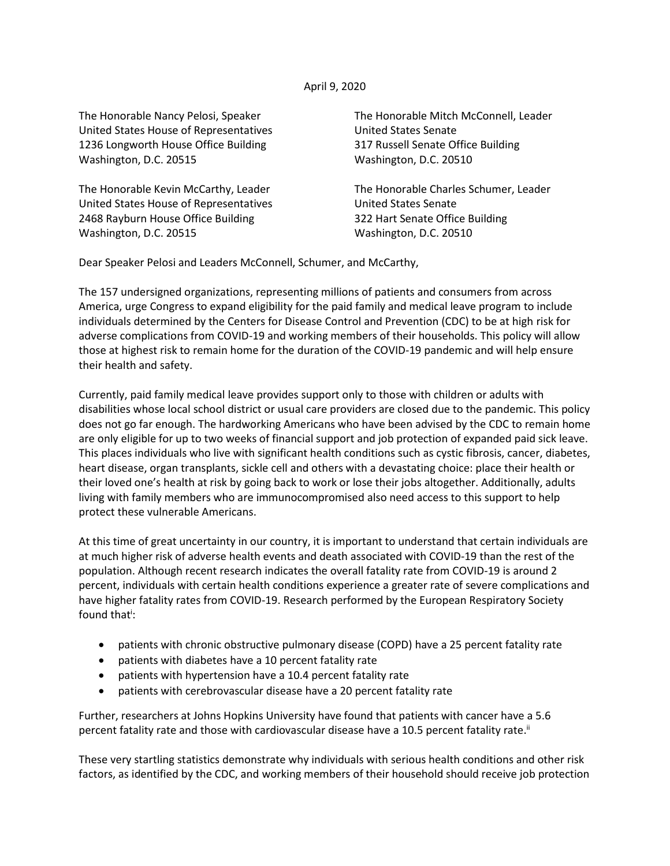## April 9, 2020

United States House of Representatives United States Senate 1236 Longworth House Office Building 317 Russell Senate Office Building Washington, D.C. 20515 Washington, D.C. 20510

United States House of Representatives **United States Senate** 2468 Rayburn House Office Building 322 Hart Senate Office Building Washington, D.C. 20515 Washington, D.C. 20510

The Honorable Nancy Pelosi, Speaker The Honorable Mitch McConnell, Leader

The Honorable Kevin McCarthy, Leader The Honorable Charles Schumer, Leader

Dear Speaker Pelosi and Leaders McConnell, Schumer, and McCarthy,

The 157 undersigned organizations, representing millions of patients and consumers from across America, urge Congress to expand eligibility for the paid family and medical leave program to include individuals determined by the Centers for Disease Control and Prevention (CDC) to be at high risk for adverse complications from COVID-19 and working members of their households. This policy will allow those at highest risk to remain home for the duration of the COVID-19 pandemic and will help ensure their health and safety.

Currently, paid family medical leave provides support only to those with children or adults with disabilities whose local school district or usual care providers are closed due to the pandemic. This policy does not go far enough. The hardworking Americans who have been advised by the CDC to remain home are only eligible for up to two weeks of financial support and job protection of expanded paid sick leave. This places individuals who live with significant health conditions such as cystic fibrosis, cancer, diabetes, heart disease, organ transplants, sickle cell and others with a devastating choice: place their health or their loved one's health at risk by going back to work or lose their jobs altogether. Additionally, adults living with family members who are immunocompromised also need access to this support to help protect these vulnerable Americans.

At this time of great uncertainty in our country, it is important to understand that certain individuals are at much higher risk of adverse health events and death associated with COVID-19 than the rest of the population. Although recent research indicates the overall fatality rate from COVID-19 is around 2 percent, individuals with certain health conditions experience a greater rate of severe complications and have higher fatality rates from COVID-19. Research performed by the European Respiratory Society found that<sup>i</sup>:

- patients with chronic obstructive pulmonary disease (COPD) have a 25 percent fatality rate
- patients with diabetes have a 10 percent fatality rate
- patients with hypertension have a 10.4 percent fatality rate
- patients with cerebrovascular disease have a 20 percent fatality rate

Further, researchers at Johns Hopkins University have found that patients with cancer have a 5.6 percent fatality rate and those with cardiovascular disease have a 10.5 percent fatality rate.<sup>ii</sup>

These very startling statistics demonstrate why individuals with serious health conditions and other risk factors, as identified by the CDC, and working members of their household should receive job protection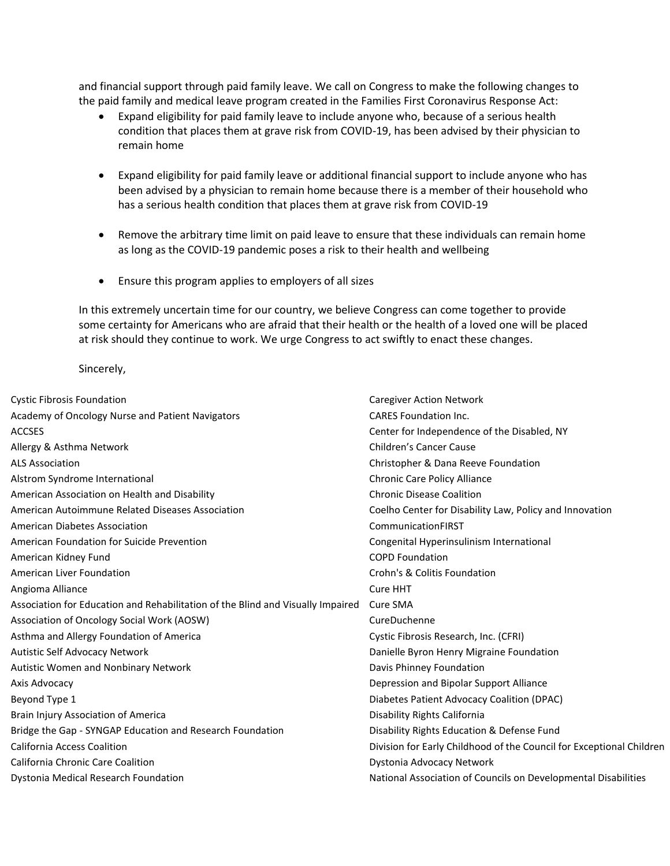and financial support through paid family leave. We call on Congress to make the following changes to the paid family and medical leave program created in the Families First Coronavirus Response Act:

- Expand eligibility for paid family leave to include anyone who, because of a serious health condition that places them at grave risk from COVID-19, has been advised by their physician to remain home
- Expand eligibility for paid family leave or additional financial support to include anyone who has been advised by a physician to remain home because there is a member of their household who has a serious health condition that places them at grave risk from COVID-19
- Remove the arbitrary time limit on paid leave to ensure that these individuals can remain home as long as the COVID-19 pandemic poses a risk to their health and wellbeing
- Ensure this program applies to employers of all sizes

In this extremely uncertain time for our country, we believe Congress can come together to provide some certainty for Americans who are afraid that their health or the health of a loved one will be placed at risk should they continue to work. We urge Congress to act swiftly to enact these changes.

## Sincerely,

| <b>Cystic Fibrosis Foundation</b>                                               | <b>Caregiver Action Network</b>                                      |
|---------------------------------------------------------------------------------|----------------------------------------------------------------------|
| Academy of Oncology Nurse and Patient Navigators                                | <b>CARES Foundation Inc.</b>                                         |
| <b>ACCSES</b>                                                                   | Center for Independence of the Disabled, NY                          |
| Allergy & Asthma Network                                                        | Children's Cancer Cause                                              |
| <b>ALS Association</b>                                                          | Christopher & Dana Reeve Foundation                                  |
| Alstrom Syndrome International                                                  | <b>Chronic Care Policy Alliance</b>                                  |
| American Association on Health and Disability                                   | <b>Chronic Disease Coalition</b>                                     |
| American Autoimmune Related Diseases Association                                | Coelho Center for Disability Law, Policy and Innovation              |
| <b>American Diabetes Association</b>                                            | CommunicationFIRST                                                   |
| American Foundation for Suicide Prevention                                      | Congenital Hyperinsulinism International                             |
| American Kidney Fund                                                            | <b>COPD Foundation</b>                                               |
| <b>American Liver Foundation</b>                                                | Crohn's & Colitis Foundation                                         |
| Angioma Alliance                                                                | Cure HHT                                                             |
| Association for Education and Rehabilitation of the Blind and Visually Impaired | Cure SMA                                                             |
| Association of Oncology Social Work (AOSW)                                      | CureDuchenne                                                         |
| Asthma and Allergy Foundation of America                                        | Cystic Fibrosis Research, Inc. (CFRI)                                |
| Autistic Self Advocacy Network                                                  | Danielle Byron Henry Migraine Foundation                             |
| Autistic Women and Nonbinary Network                                            | Davis Phinney Foundation                                             |
| Axis Advocacy                                                                   | Depression and Bipolar Support Alliance                              |
| Beyond Type 1                                                                   | Diabetes Patient Advocacy Coalition (DPAC)                           |
| Brain Injury Association of America                                             | Disability Rights California                                         |
| Bridge the Gap - SYNGAP Education and Research Foundation                       | Disability Rights Education & Defense Fund                           |
| <b>California Access Coalition</b>                                              | Division for Early Childhood of the Council for Exceptional Children |
| California Chronic Care Coalition                                               | Dystonia Advocacy Network                                            |
| Dystonia Medical Research Foundation                                            | National Association of Councils on Developmental Disabilities       |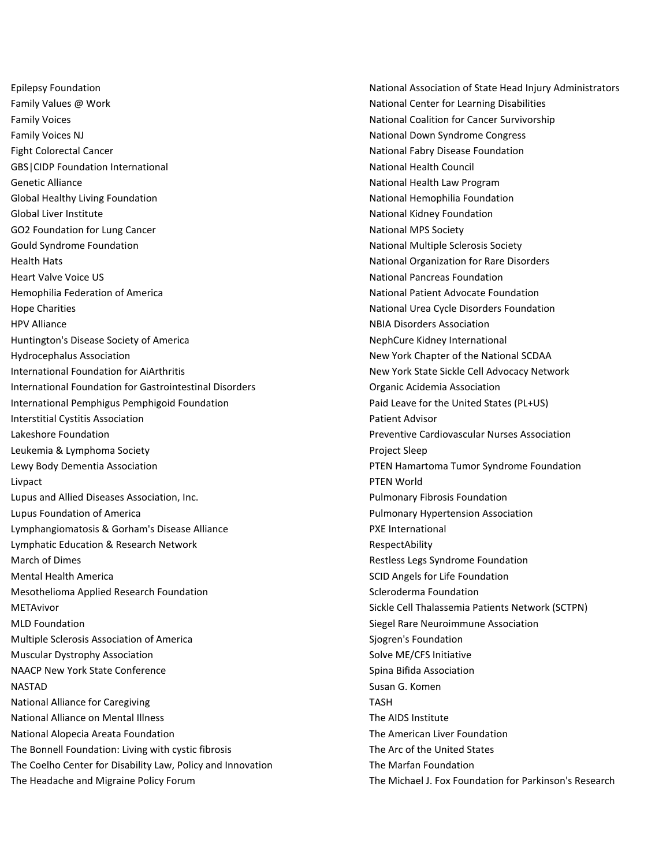Family Values @ Work National Center for Learning Disabilities Family Voices **National Coalition for Cancer Survivorship National Coalition for Cancer Survivorship** Family Voices NJ National Down Syndrome Congress Fight Colorectal Cancer National Fabry Disease Foundation National Fabry Disease Foundation GBS|CIDP Foundation International National National Health Council Genetic Alliance **National Health Law Program** Global Healthy Living Foundation National Hemophilia Foundation National Hemophilia Foundation Global Liver Institute National Kidney Foundation GO2 Foundation for Lung Cancer National MPS Society Gould Syndrome Foundation National Multiple Sclerosis Society Health Hats National Organization for Rare Disorders Heart Valve Voice US National Pancreas Foundation Hemophilia Federation of America National Patient Advocate Foundation Hope Charities **National Urea Cycle Disorders Foundation** National Urea Cycle Disorders Foundation HPV Alliance **NBIA Disorders Association** Huntington's Disease Society of America NephCure Kidney International Hydrocephalus Association New York Chapter of the National SCDAA International Foundation for AiArthritis New York State Sickle Cell Advocacy Network International Foundation for Gastrointestinal Disorders **Commence Construction** Organic Acidemia Association International Pemphigus Pemphigoid Foundation Paid Leave for the United States (PL+US) Interstitial Cystitis Association Patient Advisor Lakeshore Foundation Preventive Cardiovascular Nurses Association Leukemia & Lymphoma Society Project Sleep Lewy Body Dementia Association PTEN Hamartoma Tumor Syndrome Foundation Livpact PTEN World Lupus and Allied Diseases Association, Inc. Pulmonary Fibrosis Foundation Lupus Foundation of America Pulmonary Hypertension Association Lymphangiomatosis & Gorham's Disease Alliance **PXE International** Lymphatic Education & Research Network **RespectAbility** RespectAbility March of Dimes **March of Dimes** Restless Legs Syndrome Foundation Mental Health America **SCID** Angels for Life Foundation Mesothelioma Applied Research Foundation Scleroderma Foundation Scleroderma Foundation METAvivor Sickle Cell Thalassemia Patients Network (SCTPN) MLD Foundation Siegel Rare Neuroimmune Association Siegel Rare Neuroimmune Association Multiple Sclerosis Association of America Siggren's Foundation Siggren's Foundation Muscular Dystrophy Association Solve ME/CFS Initiative Solve ME/CFS Initiative NAACP New York State Conference Spina Bifida Association NASTAD Susan G. Komen National Alliance for Caregiving TASH and the Caregiving TASH National Alliance on Mental Illness National Alliance on Mental Illness National Alliance on Mental Illness Na National Alopecia Areata Foundation National Alopecia Areata Foundation The American Liver Foundation The Bonnell Foundation: Living with cystic fibrosis The Arc of the United States The Coelho Center for Disability Law, Policy and Innovation The Marfan Foundation The Headache and Migraine Policy Forum The Michael J. Fox Foundation for Parkinson's Research

Epilepsy Foundation National Association of State Head Injury Administrators